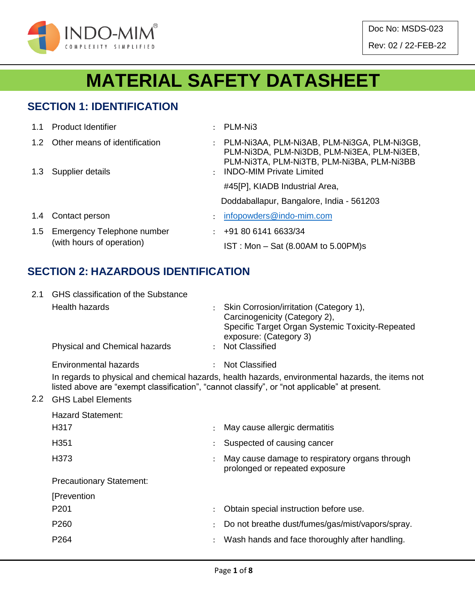

# **MATERIAL SAFETY DATASHEET**

#### **SECTION 1: IDENTIFICATION**

| 1.1 | <b>Product Identifier</b>                               |               | PLM-Ni3                                                                                                                                  |
|-----|---------------------------------------------------------|---------------|------------------------------------------------------------------------------------------------------------------------------------------|
|     | 1.2 Other means of identification                       | $\mathcal{L}$ | PLM-NI3AA, PLM-NI3AB, PLM-NI3GA, PLM-NI3GB,<br>PLM-NI3DA, PLM-NI3DB, PLM-NI3EA, PLM-NI3EB,<br>PLM-NI3TA, PLM-NI3TB, PLM-NI3BA, PLM-NI3BB |
| 1.3 | Supplier details                                        |               | <b>INDO-MIM Private Limited</b>                                                                                                          |
|     |                                                         |               | #45[P], KIADB Industrial Area,                                                                                                           |
|     |                                                         |               | Doddaballapur, Bangalore, India - 561203                                                                                                 |
| 1.4 | Contact person                                          |               | infopowders@indo-mim.com                                                                                                                 |
| 1.5 | Emergency Telephone number<br>(with hours of operation) |               | +91 80 6141 6633/34                                                                                                                      |
|     |                                                         |               | IST: Mon - Sat (8.00AM to 5.00PM)s                                                                                                       |

#### **SECTION 2: HAZARDOUS IDENTIFICATION**

| 2.1           | GHS classification of the Substance |               |                                                                                                                                                                                                   |  |  |  |  |  |  |
|---------------|-------------------------------------|---------------|---------------------------------------------------------------------------------------------------------------------------------------------------------------------------------------------------|--|--|--|--|--|--|
|               | <b>Health hazards</b>               |               | Skin Corrosion/irritation (Category 1),<br>Carcinogenicity (Category 2),<br>Specific Target Organ Systemic Toxicity-Repeated<br>exposure: (Category 3)                                            |  |  |  |  |  |  |
|               | Physical and Chemical hazards       |               | : Not Classified                                                                                                                                                                                  |  |  |  |  |  |  |
|               | Environmental hazards               | $\mathcal{L}$ | <b>Not Classified</b>                                                                                                                                                                             |  |  |  |  |  |  |
|               |                                     |               | In regards to physical and chemical hazards, health hazards, environmental hazards, the items not<br>listed above are "exempt classification", "cannot classify", or "not applicable" at present. |  |  |  |  |  |  |
| $2.2^{\circ}$ | <b>GHS Label Elements</b>           |               |                                                                                                                                                                                                   |  |  |  |  |  |  |
|               | <b>Hazard Statement:</b>            |               |                                                                                                                                                                                                   |  |  |  |  |  |  |
|               | H317                                |               | May cause allergic dermatitis                                                                                                                                                                     |  |  |  |  |  |  |
|               | H351                                |               | Suspected of causing cancer                                                                                                                                                                       |  |  |  |  |  |  |
|               | H373                                |               | May cause damage to respiratory organs through<br>prolonged or repeated exposure                                                                                                                  |  |  |  |  |  |  |
|               | <b>Precautionary Statement:</b>     |               |                                                                                                                                                                                                   |  |  |  |  |  |  |
|               | [Prevention                         |               |                                                                                                                                                                                                   |  |  |  |  |  |  |
|               | P <sub>201</sub>                    |               | Obtain special instruction before use.                                                                                                                                                            |  |  |  |  |  |  |
|               | P <sub>260</sub>                    |               | Do not breathe dust/fumes/gas/mist/vapors/spray.                                                                                                                                                  |  |  |  |  |  |  |
|               | P264                                |               | Wash hands and face thoroughly after handling.                                                                                                                                                    |  |  |  |  |  |  |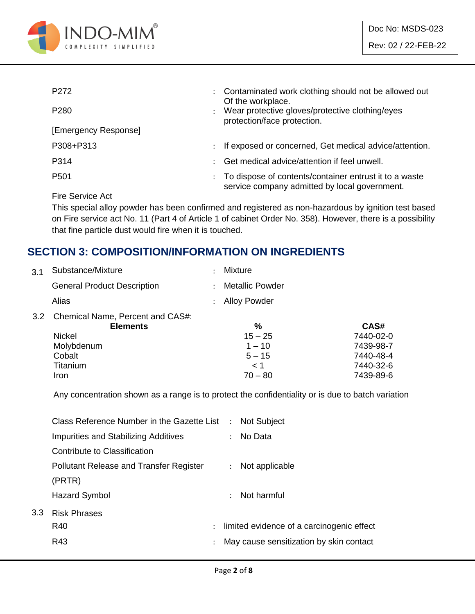

| P <sub>272</sub>     | $\ddot{\phantom{0}}$ | Contaminated work clothing should not be allowed out<br>Of the workplace.                               |
|----------------------|----------------------|---------------------------------------------------------------------------------------------------------|
| P <sub>280</sub>     |                      | Wear protective gloves/protective clothing/eyes<br>protection/face protection.                          |
| [Emergency Response] |                      |                                                                                                         |
| P308+P313            | $\ddot{\phantom{0}}$ | If exposed or concerned, Get medical advice/attention.                                                  |
| P314                 |                      | Get medical advice/attention if feel unwell.                                                            |
| P <sub>501</sub>     |                      | To dispose of contents/container entrust it to a waste<br>service company admitted by local government. |
|                      |                      |                                                                                                         |

Fire Service Act

This special alloy powder has been confirmed and registered as non-hazardous by ignition test based on Fire service act No. 11 (Part 4 of Article 1 of cabinet Order No. 358). However, there is a possibility that fine particle dust would fire when it is touched.

### **SECTION 3: COMPOSITION/INFORMATION ON INGREDIENTS**

| 3.1 | Substance/Mixture                                   | ٠                    | <b>Mixture</b>         |           |
|-----|-----------------------------------------------------|----------------------|------------------------|-----------|
|     | <b>General Product Description</b>                  | $\ddot{\phantom{a}}$ | <b>Metallic Powder</b> |           |
|     | Alias                                               |                      | : Alloy Powder         |           |
| 3.2 | Chemical Name, Percent and CAS#:<br><b>Elements</b> |                      | %                      | CAS#      |
|     | Nickel                                              |                      | $15 - 25$              | 7440-02-0 |
|     | Molybdenum                                          |                      | $1 - 10$               | 7439-98-7 |
|     | Cobalt                                              |                      | $5 - 15$               | 7440-48-4 |
|     | Titanium                                            |                      | $\leq 1$               | 7440-32-6 |
|     | Iron                                                |                      | $70 - 80$              | 7439-89-6 |

Any concentration shown as a range is to protect the confidentiality or is due to batch variation

|     | Class Reference Number in the Gazette List : Not Subject |                      |                                           |
|-----|----------------------------------------------------------|----------------------|-------------------------------------------|
|     | <b>Impurities and Stabilizing Additives</b>              |                      | : No Data                                 |
|     | Contribute to Classification                             |                      |                                           |
|     | <b>Pollutant Release and Transfer Register</b>           |                      | : Not applicable                          |
|     | (PRTR)                                                   |                      |                                           |
|     | Hazard Symbol                                            |                      | $\therefore$ Not harmful                  |
| 3.3 | <b>Risk Phrases</b>                                      |                      |                                           |
|     | R40                                                      | $\ddot{\phantom{0}}$ | limited evidence of a carcinogenic effect |
|     | R43                                                      |                      | May cause sensitization by skin contact   |
|     |                                                          |                      |                                           |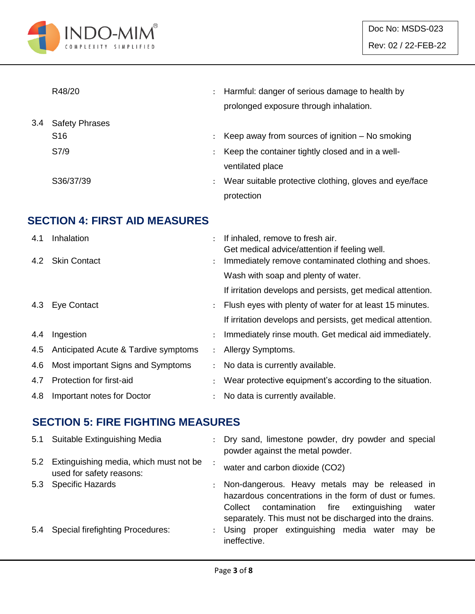

|     | R48/20                | $\ddot{\phantom{a}}$ | Harmful: danger of serious damage to health by<br>prolonged exposure through inhalation. |
|-----|-----------------------|----------------------|------------------------------------------------------------------------------------------|
| 3.4 | <b>Safety Phrases</b> |                      |                                                                                          |
|     | S <sub>16</sub>       |                      | Keep away from sources of ignition $-$ No smoking                                        |
|     | S7/9                  | ÷                    | Keep the container tightly closed and in a well-                                         |
|     |                       |                      | ventilated place                                                                         |
|     | S36/37/39             | $\ddot{\phantom{a}}$ | Wear suitable protective clothing, gloves and eye/face                                   |
|     |                       |                      | protection                                                                               |

### **SECTION 4: FIRST AID MEASURES**

| 4.1 | Inhalation                           |                      | If inhaled, remove to fresh air.<br>Get medical advice/attention if feeling well. |
|-----|--------------------------------------|----------------------|-----------------------------------------------------------------------------------|
|     | 4.2 Skin Contact                     | $\ddot{\phantom{0}}$ | Immediately remove contaminated clothing and shoes.                               |
|     |                                      |                      | Wash with soap and plenty of water.                                               |
|     |                                      |                      | If irritation develops and persists, get medical attention.                       |
|     | 4.3 Eye Contact                      | $\mathcal{L}$        | Flush eyes with plenty of water for at least 15 minutes.                          |
|     |                                      |                      | If irritation develops and persists, get medical attention.                       |
| 4.4 | Ingestion                            |                      | Immediately rinse mouth. Get medical aid immediately.                             |
| 4.5 | Anticipated Acute & Tardive symptoms | $\mathcal{L}$        | Allergy Symptoms.                                                                 |
| 4.6 | Most important Signs and Symptoms    | $\mathcal{L}$        | No data is currently available.                                                   |
| 4.7 | Protection for first-aid             |                      | Wear protective equipment's according to the situation.                           |
| 4.8 | Important notes for Doctor           |                      | No data is currently available.                                                   |

#### **SECTION 5: FIRE FIGHTING MEASURES**

|     | 5.1 Suitable Extinguishing Media                                       | $\mathcal{L}$ | Dry sand, limestone powder, dry powder and special<br>powder against the metal powder.                                                                                                                                         |
|-----|------------------------------------------------------------------------|---------------|--------------------------------------------------------------------------------------------------------------------------------------------------------------------------------------------------------------------------------|
|     | 5.2 Extinguishing media, which must not be<br>used for safety reasons: |               | water and carbon dioxide (CO2)                                                                                                                                                                                                 |
|     | 5.3 Specific Hazards                                                   |               | : Non-dangerous. Heavy metals may be released in<br>hazardous concentrations in the form of dust or fumes.<br>contamination fire extinguishing<br>Collect<br>water<br>separately. This must not be discharged into the drains. |
| 5.4 | <b>Special firefighting Procedures:</b>                                |               | : Using proper extinguishing media water may be<br>ineffective.                                                                                                                                                                |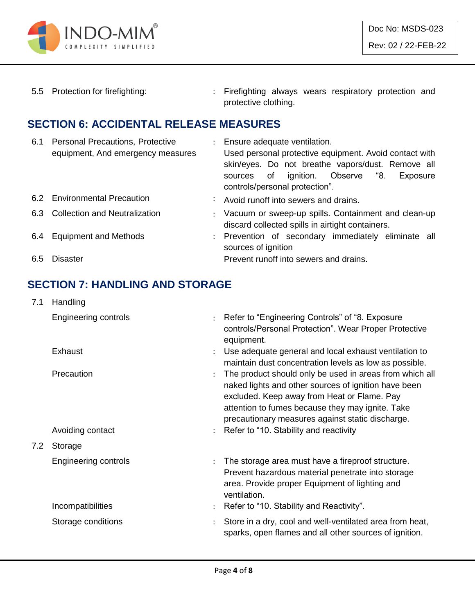

5.5 Protection for firefighting: : Firefighting always wears respiratory protection and protective clothing.

#### **SECTION 6: ACCIDENTAL RELEASE MEASURES**

| 6.1 | <b>Personal Precautions, Protective</b><br>equipment, And emergency measures | : Ensure adequate ventilation.<br>Used personal protective equipment. Avoid contact with<br>skin/eyes. Do not breathe vapors/dust. Remove all<br>ignition. Observe "8.<br>sources of<br>Exposure<br>controls/personal protection". |
|-----|------------------------------------------------------------------------------|------------------------------------------------------------------------------------------------------------------------------------------------------------------------------------------------------------------------------------|
|     | 6.2 Environmental Precaution                                                 | : Avoid runoff into sewers and drains.                                                                                                                                                                                             |
| 6.3 | <b>Collection and Neutralization</b>                                         | : Vacuum or sweep-up spills. Containment and clean-up<br>discard collected spills in airtight containers.                                                                                                                          |
|     | 6.4 Equipment and Methods                                                    | : Prevention of secondary immediately eliminate all<br>sources of ignition                                                                                                                                                         |
| 6.5 | Disaster                                                                     | Prevent runoff into sewers and drains.                                                                                                                                                                                             |

### **SECTION 7: HANDLING AND STORAGE**

| 7.1 | Handling             |                      |                                                                                                                                                                                                                                                                        |
|-----|----------------------|----------------------|------------------------------------------------------------------------------------------------------------------------------------------------------------------------------------------------------------------------------------------------------------------------|
|     | Engineering controls | $\ddot{\phantom{a}}$ | Refer to "Engineering Controls" of "8. Exposure<br>controls/Personal Protection". Wear Proper Protective<br>equipment.                                                                                                                                                 |
|     | Exhaust              |                      | Use adequate general and local exhaust ventilation to<br>maintain dust concentration levels as low as possible.                                                                                                                                                        |
|     | Precaution           |                      | The product should only be used in areas from which all<br>naked lights and other sources of ignition have been<br>excluded. Keep away from Heat or Flame. Pay<br>attention to fumes because they may ignite. Take<br>precautionary measures against static discharge. |
|     | Avoiding contact     |                      | : Refer to "10. Stability and reactivity                                                                                                                                                                                                                               |
| 7.2 | Storage              |                      |                                                                                                                                                                                                                                                                        |
|     | Engineering controls | $\ddot{\cdot}$       | The storage area must have a fireproof structure.<br>Prevent hazardous material penetrate into storage<br>area. Provide proper Equipment of lighting and<br>ventilation.                                                                                               |
|     | Incompatibilities    |                      | Refer to "10. Stability and Reactivity".                                                                                                                                                                                                                               |
|     | Storage conditions   | $\ddot{\cdot}$       | Store in a dry, cool and well-ventilated area from heat,<br>sparks, open flames and all other sources of ignition.                                                                                                                                                     |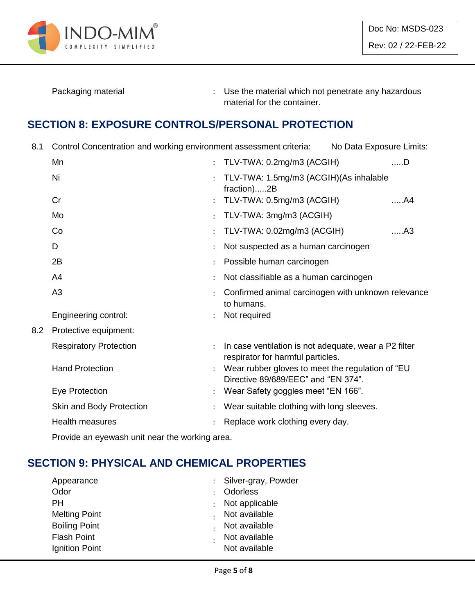

Packaging material **Packaging material in the material which not penetrate any hazardous** material for the container.

### **SECTION 8: EXPOSURE CONTROLS/PERSONAL PROTECTION**

8.1 Control Concentration and working environment assessment criteria: No Data Exposure Limits:

|     | Mn                            | $\ddot{\cdot}$       | TLV-TWA: 0.2mg/m3 (ACGIH)                                                                  | $$ D |
|-----|-------------------------------|----------------------|--------------------------------------------------------------------------------------------|------|
|     | Ni                            |                      | TLV-TWA: 1.5mg/m3 (ACGIH)(As inhalable<br>fraction)2B                                      |      |
|     | Cr                            |                      | TLV-TWA: 0.5mg/m3 (ACGIH)                                                                  | A4   |
|     | Mo                            | $\ddot{\cdot}$       | TLV-TWA: 3mg/m3 (ACGIH)                                                                    |      |
|     | Co                            |                      | TLV-TWA: 0.02mg/m3 (ACGIH)                                                                 | A3   |
|     | D                             |                      | Not suspected as a human carcinogen                                                        |      |
|     | 2B                            |                      | Possible human carcinogen                                                                  |      |
|     | A4                            |                      | Not classifiable as a human carcinogen                                                     |      |
|     | A <sub>3</sub>                |                      | Confirmed animal carcinogen with unknown relevance<br>to humans.                           |      |
|     | Engineering control:          |                      | Not required                                                                               |      |
| 8.2 | Protective equipment:         |                      |                                                                                            |      |
|     | <b>Respiratory Protection</b> |                      | In case ventilation is not adequate, wear a P2 filter<br>respirator for harmful particles. |      |
|     | <b>Hand Protection</b>        |                      | Wear rubber gloves to meet the regulation of "EU<br>Directive 89/689/EEC" and "EN 374".    |      |
|     | Eye Protection                | $\ddot{\phantom{a}}$ | Wear Safety goggles meet "EN 166".                                                         |      |
|     | Skin and Body Protection      |                      | Wear suitable clothing with long sleeves.                                                  |      |
|     | Health measures               |                      | Replace work clothing every day.                                                           |      |
|     |                               |                      |                                                                                            |      |

Provide an eyewash unit near the working area.

# **SECTION 9: PHYSICAL AND CHEMICAL PROPERTIES**

| Appearance           | : Silver-gray, Powder |
|----------------------|-----------------------|
| Odor                 | <b>Odorless</b>       |
| PН                   | Not applicable        |
| <b>Melting Point</b> | Not available         |
| <b>Boiling Point</b> | Not available         |
| <b>Flash Point</b>   | Not available         |
| Ignition Point       | Not available         |
|                      |                       |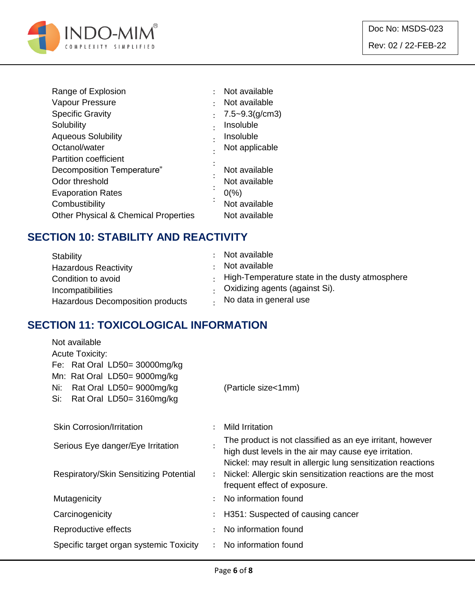

| ٠         | Not available      |
|-----------|--------------------|
|           | Not available      |
|           | $7.5 - 9.3(g/cm3)$ |
| $\bullet$ | Insoluble          |
|           | Insoluble          |
|           | Not applicable     |
|           |                    |
|           | Not available      |
|           | Not available      |
|           | $0\frac{9}{6}$     |
| $\bullet$ | Not available      |
|           | Not available      |
|           |                    |

#### **SECTION 10: STABILITY AND REACTIVITY**

| Stability                                         | : Not available<br>Not available                       |
|---------------------------------------------------|--------------------------------------------------------|
| <b>Hazardous Reactivity</b><br>Condition to avoid | $\cdot$ High-Temperature state in the dusty atmosphere |
| Incompatibilities                                 | . Oxidizing agents (against Si).                       |
| Hazardous Decomposition products                  | No data in general use                                 |

#### **SECTION 11: TOXICOLOGICAL INFORMATION**

| Not available                           |                      |                                                             |
|-----------------------------------------|----------------------|-------------------------------------------------------------|
| <b>Acute Toxicity:</b>                  |                      |                                                             |
| Fe: Rat Oral LD50= $30000mg/kg$         |                      |                                                             |
| Mn: Rat Oral LD50= 9000mg/kg            |                      |                                                             |
| Rat Oral LD50= 9000mg/kg<br>Ni:         |                      | (Particle size<1mm)                                         |
| Si:<br>Rat Oral LD50= 3160mg/kg         |                      |                                                             |
|                                         |                      |                                                             |
| <b>Skin Corrosion/Irritation</b>        |                      | <b>Mild Irritation</b>                                      |
| Serious Eye danger/Eye Irritation       |                      | The product is not classified as an eye irritant, however   |
|                                         |                      | high dust levels in the air may cause eye irritation.       |
|                                         |                      | Nickel: may result in allergic lung sensitization reactions |
| Respiratory/Skin Sensitizing Potential  | $\ddot{\phantom{0}}$ | Nickel: Allergic skin sensitization reactions are the most  |
|                                         |                      | frequent effect of exposure.                                |
| Mutagenicity                            | $\ddot{\phantom{a}}$ | No information found                                        |
| Carcinogenicity                         |                      | H351: Suspected of causing cancer                           |
| Reproductive effects                    | $\bullet$            | No information found                                        |
| Specific target organ systemic Toxicity |                      | No information found                                        |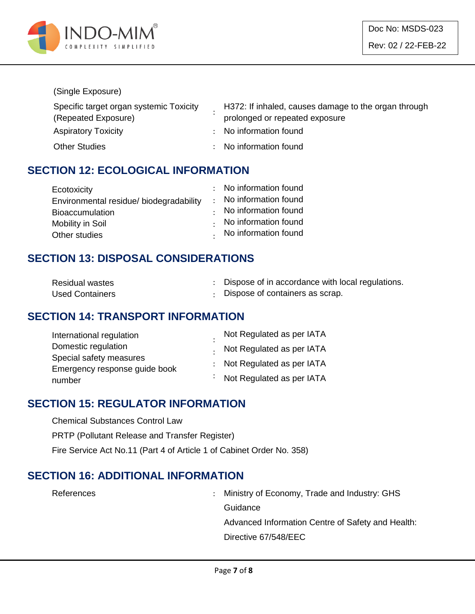

#### (Single Exposure)

| Specific target organ systemic Toxicity | H372: If inhaled, causes damage to the organ through |
|-----------------------------------------|------------------------------------------------------|
| (Repeated Exposure)                     | prolonged or repeated exposure                       |
| <b>Aspiratory Toxicity</b>              | : No information found                               |
| <b>Other Studies</b>                    | : No information found                               |

#### **SECTION 12: ECOLOGICAL INFORMATION**

| Ecotoxicity                             | : No information found       |
|-----------------------------------------|------------------------------|
| Environmental residue/ biodegradability | : No information found       |
| <b>Bioaccumulation</b>                  | $\cdot$ No information found |
| Mobility in Soil                        | No information found         |
| Other studies                           | . No information found       |

### **SECTION 13: DISPOSAL CONSIDERATIONS**

| <b>Residual wastes</b> | Dispose of in accordance with local regulations. |
|------------------------|--------------------------------------------------|
| <b>Used Containers</b> | : Dispose of containers as scrap.                |

#### **SECTION 14: TRANSPORT INFORMATION**

| International regulation      | Not Regulated as per IATA         |
|-------------------------------|-----------------------------------|
| Domestic regulation           | . Not Regulated as per IATA       |
| Special safety measures       |                                   |
| Emergency response guide book | : Not Regulated as per IATA       |
| number                        | $\cdot$ Not Regulated as per IATA |

#### **SECTION 15: REGULATOR INFORMATION**

Chemical Substances Control Law

PRTP (Pollutant Release and Transfer Register)

Fire Service Act No.11 (Part 4 of Article 1 of Cabinet Order No. 358)

#### **SECTION 16: ADDITIONAL INFORMATION**

References : Ministry of Economy, Trade and Industry: GHS **Guidance** Advanced Information Centre of Safety and Health: Directive 67/548/EEC